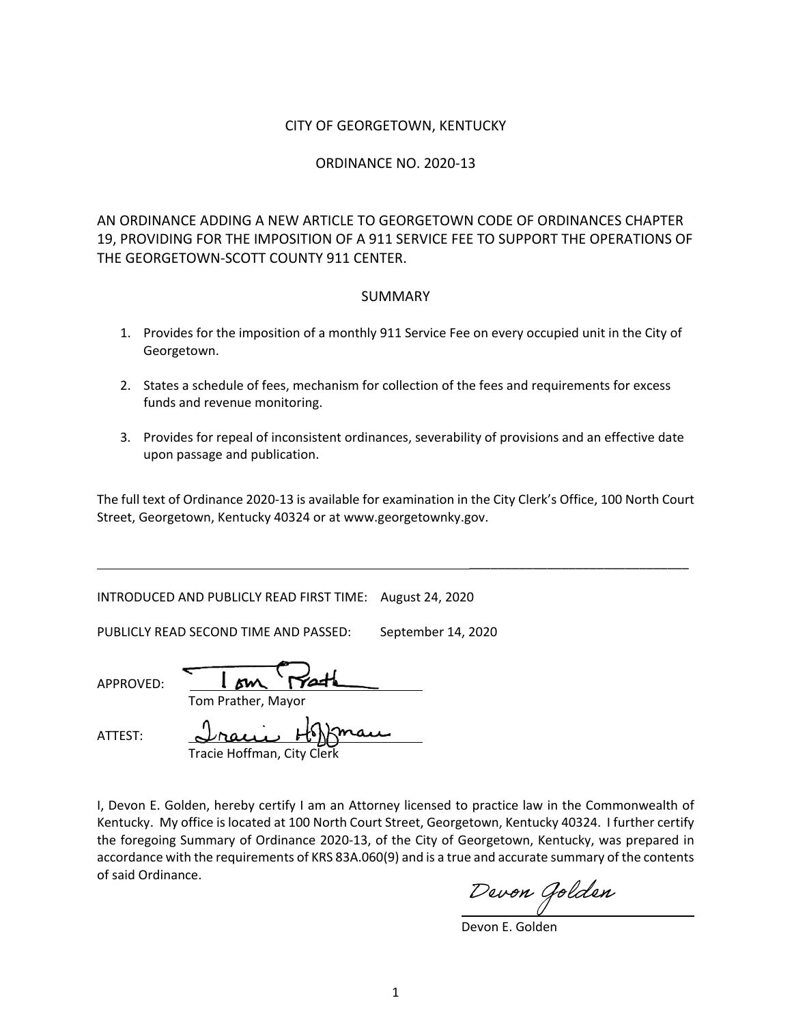### CITY OF GEORGETOWN, KENTUCKY

#### ORDINANCE NO. 2020-13

AN ORDINANCE ADDING A NEW ARTICLE TO GEORGETOWN CODE OF ORDINANCES CHAPTER 19, PROVIDING FOR THE IMPOSITION OF A 911 SERVICE FEE TO SUPPORT THE OPERATIONS OF THE GEORGETOWN-SCOTT COUNTY 911 CENTER.

#### SUMMARY

- 1. Provides for the imposition of a monthly 911 Service Fee on every occupied unit in the City of Georgetown.
- 2. States a schedule of fees, mechanism for collection of the fees and requirements for excess funds and revenue monitoring.
- 3. Provides for repeal of inconsistent ordinances, severability of provisions and an effective date upon passage and publication.

The full text of Ordinance 2020-13 is available for examination in the City Clerk's Office, 100 North Court Street, Georgetown, Kentucky 40324 or at www.georgetownky.gov.

INTRODUCED AND PUBLICLY READ FIRST TIME: August 24, 2020

PUBLICLY READ SECOND TIME AND PASSED: September 14, 2020

| APPROVED: |  |
|-----------|--|

Tom Prather, Mayor

ATTEST:

Tracie Hoffman, City

I, Devon E. Golden, hereby certify I am an Attorney licensed to practice law in the Commonwealth of Kentucky. My office is located at 100 North Court Street, Georgetown, Kentucky 40324. I further certify the foregoing Summary of Ordinance 2020-13, of the City of Georgetown, Kentucky, was prepared in accordance with the requirements of KRS 83A.060(9) and is a true and accurate summary of the contents of said Ordinance.

Devon Golden

\_\_\_\_\_\_\_\_\_\_\_\_\_\_\_\_\_\_\_\_\_\_\_\_\_\_\_\_\_\_\_

Devon E. Golden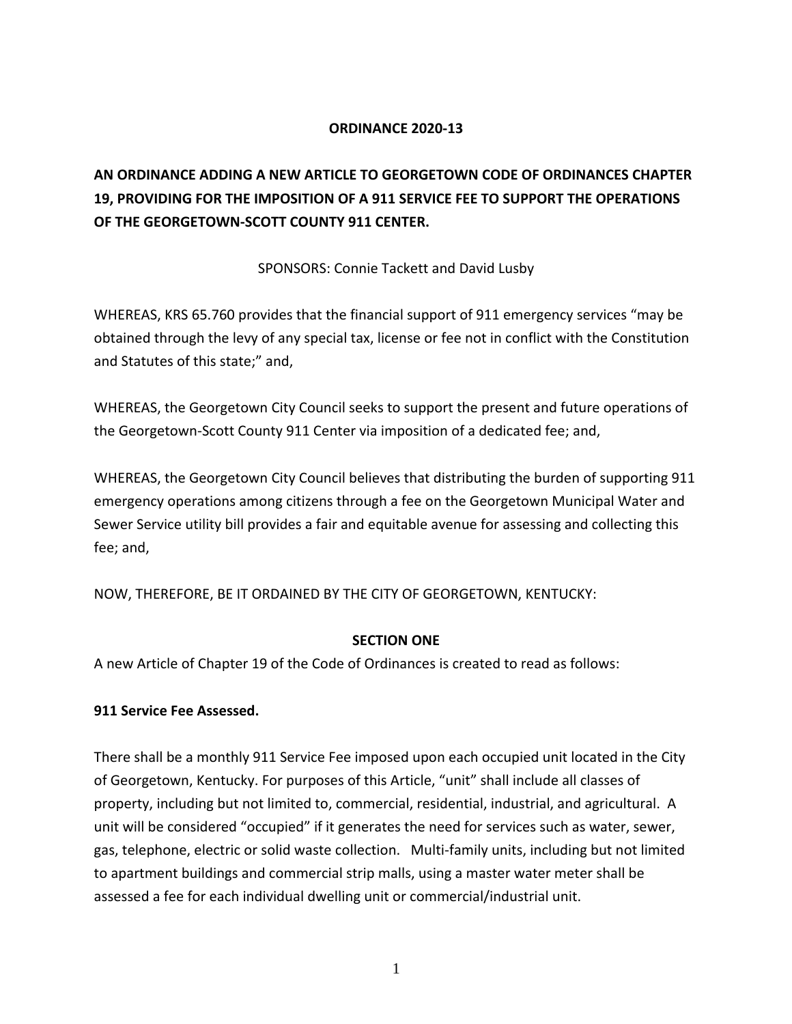# **ORDINANCE 2020-13**

# **AN ORDINANCE ADDING A NEW ARTICLE TO GEORGETOWN CODE OF ORDINANCES CHAPTER 19, PROVIDING FOR THE IMPOSITION OF A 911 SERVICE FEE TO SUPPORT THE OPERATIONS OF THE GEORGETOWN-SCOTT COUNTY 911 CENTER.**

SPONSORS: Connie Tackett and David Lusby

WHEREAS, KRS 65.760 provides that the financial support of 911 emergency services "may be obtained through the levy of any special tax, license or fee not in conflict with the Constitution and Statutes of this state;" and,

WHEREAS, the Georgetown City Council seeks to support the present and future operations of the Georgetown-Scott County 911 Center via imposition of a dedicated fee; and,

WHEREAS, the Georgetown City Council believes that distributing the burden of supporting 911 emergency operations among citizens through a fee on the Georgetown Municipal Water and Sewer Service utility bill provides a fair and equitable avenue for assessing and collecting this fee; and,

NOW, THEREFORE, BE IT ORDAINED BY THE CITY OF GEORGETOWN, KENTUCKY:

# **SECTION ONE**

A new Article of Chapter 19 of the Code of Ordinances is created to read as follows:

# **911 Service Fee Assessed.**

There shall be a monthly 911 Service Fee imposed upon each occupied unit located in the City of Georgetown, Kentucky. For purposes of this Article, "unit" shall include all classes of property, including but not limited to, commercial, residential, industrial, and agricultural. A unit will be considered "occupied" if it generates the need for services such as water, sewer, gas, telephone, electric or solid waste collection. Multi-family units, including but not limited to apartment buildings and commercial strip malls, using a master water meter shall be assessed a fee for each individual dwelling unit or commercial/industrial unit.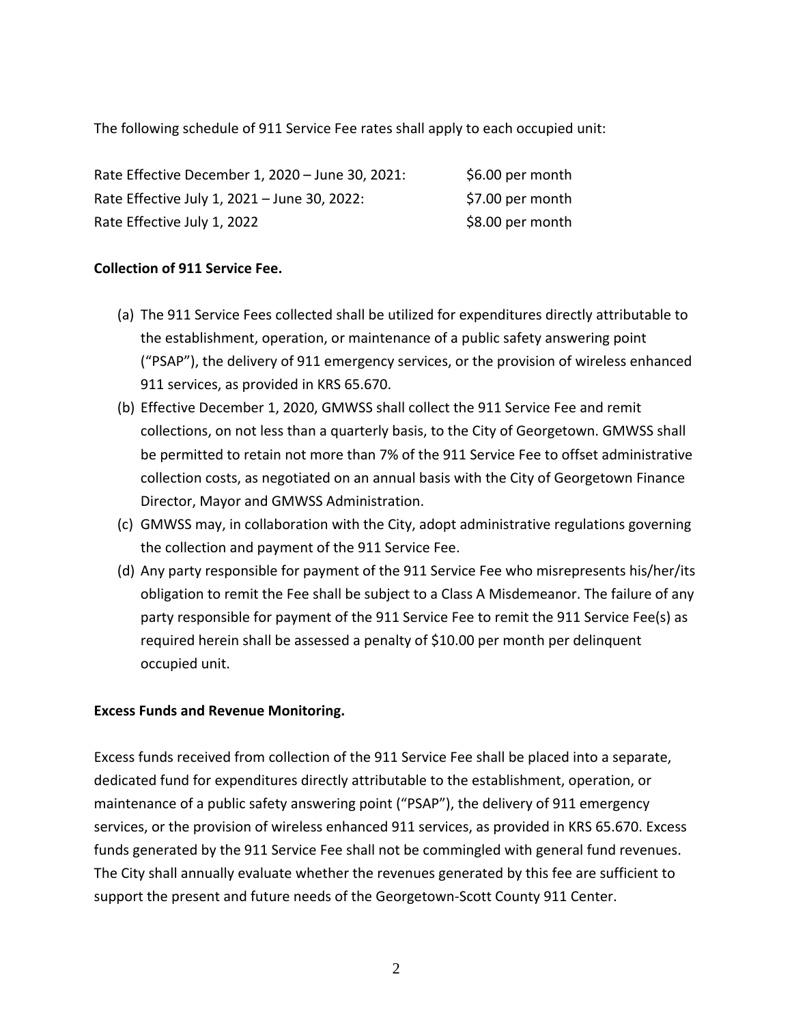The following schedule of 911 Service Fee rates shall apply to each occupied unit:

| Rate Effective December 1, 2020 - June 30, 2021: | \$6.00 per month |
|--------------------------------------------------|------------------|
| Rate Effective July 1, 2021 - June 30, 2022:     | \$7.00 per month |
| Rate Effective July 1, 2022                      | \$8.00 per month |

# **Collection of 911 Service Fee.**

- (a) The 911 Service Fees collected shall be utilized for expenditures directly attributable to the establishment, operation, or maintenance of a public safety answering point ("PSAP"), the delivery of 911 emergency services, or the provision of wireless enhanced 911 services, as provided in KRS 65.670.
- (b) Effective December 1, 2020, GMWSS shall collect the 911 Service Fee and remit collections, on not less than a quarterly basis, to the City of Georgetown. GMWSS shall be permitted to retain not more than 7% of the 911 Service Fee to offset administrative collection costs, as negotiated on an annual basis with the City of Georgetown Finance Director, Mayor and GMWSS Administration.
- (c) GMWSS may, in collaboration with the City, adopt administrative regulations governing the collection and payment of the 911 Service Fee.
- (d) Any party responsible for payment of the 911 Service Fee who misrepresents his/her/its obligation to remit the Fee shall be subject to a Class A Misdemeanor. The failure of any party responsible for payment of the 911 Service Fee to remit the 911 Service Fee(s) as required herein shall be assessed a penalty of \$10.00 per month per delinquent occupied unit.

# **Excess Funds and Revenue Monitoring.**

Excess funds received from collection of the 911 Service Fee shall be placed into a separate, dedicated fund for expenditures directly attributable to the establishment, operation, or maintenance of a public safety answering point ("PSAP"), the delivery of 911 emergency services, or the provision of wireless enhanced 911 services, as provided in KRS 65.670. Excess funds generated by the 911 Service Fee shall not be commingled with general fund revenues. The City shall annually evaluate whether the revenues generated by this fee are sufficient to support the present and future needs of the Georgetown-Scott County 911 Center.